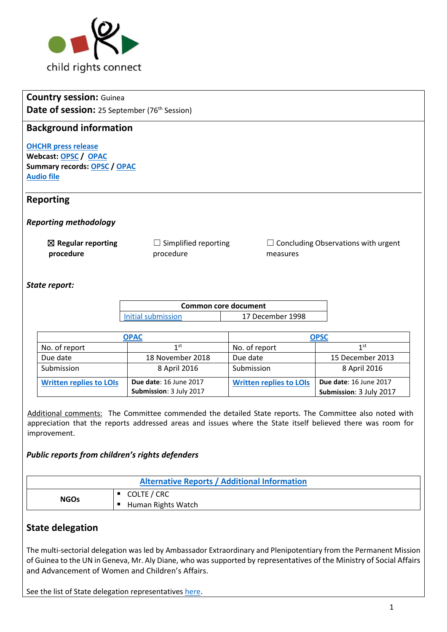

# **Country session:** Guinea **Date of session:** 25 September (76<sup>th</sup> Session)

# **Background information**

**[OHCHR press release](http://www.ohchr.org/EN/NewsEvents/Pages/DisplayNews.aspx?NewsID=22147&LangID=E) Webcast[: OPSC](http://webtv.un.org/meetings-events/human-rights-treaty-bodies/committee-on-the-rights-of-the-child/76th-session/watch/consideration-of-guinea-opsc-2243rd-meeting-76th-session-committee-on-the-rights-of-the-child/5588947626001/?term=) / [OPAC](http://webtv.un.org/meetings-events/human-rights-treaty-bodies/committee-on-the-rights-of-the-child/76th-session/watch/consideration-of-guinea-opac-2242th-meeting-76th-session-committee-on-the-rights-of-the-child/5587951195001) Summary records: [OPSC](http://tbinternet.ohchr.org/_layouts/treatybodyexternal/Download.aspx?symbolno=CRC%2fC%2fSR.2243&Lang=en) / [OPAC](http://tbinternet.ohchr.org/_layouts/treatybodyexternal/Download.aspx?symbolno=CRC%2fC%2fSR.2242&Lang=en) [Audio file](https://conf.unog.ch/digitalrecordings/)**

### **Reporting**

*Reporting methodology*

☒ **Regular reporting procedure**  $\Box$  Simplified reporting procedure  $\Box$  Concluding Observations with urgent measures

#### *State report:*

| Common core document |                  |  |
|----------------------|------------------|--|
| Initial submission   | 17 December 1998 |  |

| <b>OPAC</b>                    |                               | <b>OPSC</b>                    |                               |
|--------------------------------|-------------------------------|--------------------------------|-------------------------------|
| No. of report                  | 1st                           | No. of report                  | 1st                           |
| Due date                       | 18 November 2018              | Due date                       | 15 December 2013              |
| Submission                     | 8 April 2016                  | Submission                     | 8 April 2016                  |
| <b>Written replies to LOIS</b> | <b>Due date: 16 June 2017</b> | <b>Written replies to LOIs</b> | <b>Due date: 16 June 2017</b> |
|                                | Submission: 3 July 2017       |                                | Submission: 3 July 2017       |

Additional comments: The Committee commended the detailed State reports. The Committee also noted with appreciation that the reports addressed areas and issues where the State itself believed there was room for improvement.

### *Public reports from children's rights defenders*

| <b>Alternative Reports / Additional Information</b> |                    |
|-----------------------------------------------------|--------------------|
| <b>NGOs</b>                                         | COLTE / CRC        |
|                                                     | Human Rights Watch |

# **State delegation**

The multi-sectorial delegation was led by Ambassador Extraordinary and Plenipotentiary from the Permanent Mission of Guinea to the UN in Geneva, Mr. Aly Diane, who was supported by representatives of the Ministry of Social Affairs and Advancement of Women and Children's Affairs.

See the list of State delegation representatives [here.](http://tbinternet.ohchr.org/_layouts/treatybodyexternal/Download.aspx?symbolno=INT%2fCRC-OP-AC%2fLOP%2fGIN%2f28981&Lang=en)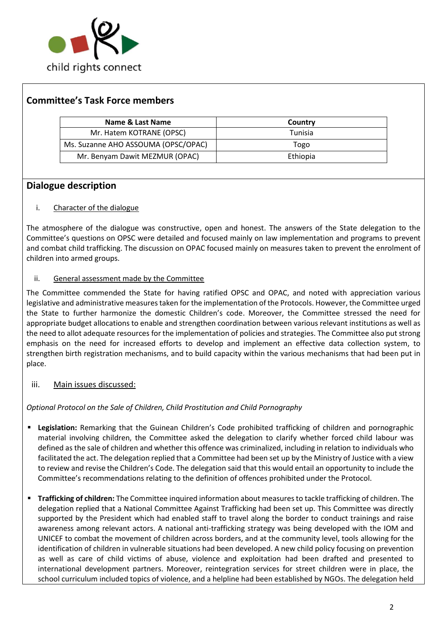

# **Committee's Task Force members**

| Name & Last Name                    | Country  |
|-------------------------------------|----------|
| Mr. Hatem KOTRANE (OPSC)            | Tunisia  |
| Ms. Suzanne AHO ASSOUMA (OPSC/OPAC) | Togo     |
| Mr. Benyam Dawit MEZMUR (OPAC)      | Ethiopia |

# **Dialogue description**

#### i. Character of the dialogue

The atmosphere of the dialogue was constructive, open and honest. The answers of the State delegation to the Committee's questions on OPSC were detailed and focused mainly on law implementation and programs to prevent and combat child trafficking. The discussion on OPAC focused mainly on measures taken to prevent the enrolment of children into armed groups.

#### ii. General assessment made by the Committee

The Committee commended the State for having ratified OPSC and OPAC, and noted with appreciation various legislative and administrative measures taken for the implementation of the Protocols. However, the Committee urged the State to further harmonize the domestic Children's code. Moreover, the Committee stressed the need for appropriate budget allocations to enable and strengthen coordination between various relevant institutions as well as the need to allot adequate resources for the implementation of policies and strategies. The Committee also put strong emphasis on the need for increased efforts to develop and implement an effective data collection system, to strengthen birth registration mechanisms, and to build capacity within the various mechanisms that had been put in place.

### iii. Main issues discussed:

### *Optional Protocol on the Sale of Children, Child Prostitution and Child Pornography*

- **Legislation:** Remarking that the Guinean Children's Code prohibited trafficking of children and pornographic material involving children, the Committee asked the delegation to clarify whether forced child labour was defined as the sale of children and whether this offence was criminalized, including in relation to individuals who facilitated the act. The delegation replied that a Committee had been set up by the Ministry of Justice with a view to review and revise the Children's Code. The delegation said that this would entail an opportunity to include the Committee's recommendations relating to the definition of offences prohibited under the Protocol.
- **Trafficking of children:** The Committee inquired information about measures to tackle trafficking of children. The delegation replied that a National Committee Against Trafficking had been set up. This Committee was directly supported by the President which had enabled staff to travel along the border to conduct trainings and raise awareness among relevant actors. A national anti-trafficking strategy was being developed with the IOM and UNICEF to combat the movement of children across borders, and at the community level, tools allowing for the identification of children in vulnerable situations had been developed. A new child policy focusing on prevention as well as care of child victims of abuse, violence and exploitation had been drafted and presented to international development partners. Moreover, reintegration services for street children were in place, the school curriculum included topics of violence, and a helpline had been established by NGOs. The delegation held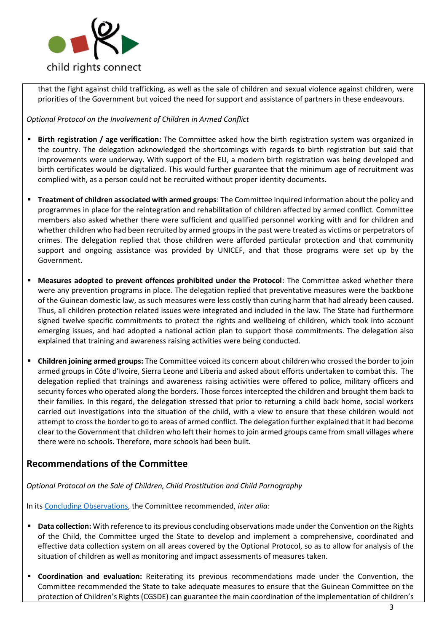

that the fight against child trafficking, as well as the sale of children and sexual violence against children, were priorities of the Government but voiced the need for support and assistance of partners in these endeavours.

*Optional Protocol on the Involvement of Children in Armed Conflict*

- **Birth registration / age verification:** The Committee asked how the birth registration system was organized in the country. The delegation acknowledged the shortcomings with regards to birth registration but said that improvements were underway. With support of the EU, a modern birth registration was being developed and birth certificates would be digitalized. This would further guarantee that the minimum age of recruitment was complied with, as a person could not be recruited without proper identity documents.
- **Treatment of children associated with armed groups**: The Committee inquired information about the policy and programmes in place for the reintegration and rehabilitation of children affected by armed conflict. Committee members also asked whether there were sufficient and qualified personnel working with and for children and whether children who had been recruited by armed groups in the past were treated as victims or perpetrators of crimes. The delegation replied that those children were afforded particular protection and that community support and ongoing assistance was provided by UNICEF, and that those programs were set up by the Government.
- **Measures adopted to prevent offences prohibited under the Protocol:** The Committee asked whether there were any prevention programs in place. The delegation replied that preventative measures were the backbone of the Guinean domestic law, as such measures were less costly than curing harm that had already been caused. Thus, all children protection related issues were integrated and included in the law. The State had furthermore signed twelve specific commitments to protect the rights and wellbeing of children, which took into account emerging issues, and had adopted a national action plan to support those commitments. The delegation also explained that training and awareness raising activities were being conducted.
- **Children joining armed groups:** The Committee voiced its concern about children who crossed the border to join armed groups in Côte d'Ivoire, Sierra Leone and Liberia and asked about efforts undertaken to combat this. The delegation replied that trainings and awareness raising activities were offered to police, military officers and security forces who operated along the borders. Those forces intercepted the children and brought them back to their families. In this regard, the delegation stressed that prior to returning a child back home, social workers carried out investigations into the situation of the child, with a view to ensure that these children would not attempt to cross the border to go to areas of armed conflict. The delegation further explained that it had become clear to the Government that children who left their homes to join armed groups came from small villages where there were no schools. Therefore, more schools had been built.

# **Recommendations of the Committee**

*Optional Protocol on the Sale of Children, Child Prostitution and Child Pornography*

In its [Concluding Observations,](http://tbinternet.ohchr.org/Treaties/CRC-OP-SC/Shared%20Documents/GIN/CRC_C_OPSC_GIN_CO_1_29118_E.pdf) the Committee recommended, *inter alia:* 

- **EXTED 2018 Collection:** With reference to its previous concluding observations made under the Convention on the Rights of the Child, the Committee urged the State to develop and implement a comprehensive, coordinated and effective data collection system on all areas covered by the Optional Protocol, so as to allow for analysis of the situation of children as well as monitoring and impact assessments of measures taken.
- **Coordination and evaluation:** Reiterating its previous recommendations made under the Convention, the Committee recommended the State to take adequate measures to ensure that the Guinean Committee on the protection of Children's Rights (CGSDE) can guarantee the main coordination of the implementation of children's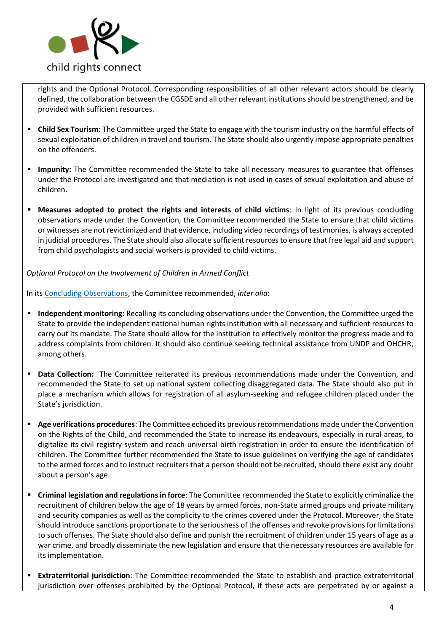

rights and the Optional Protocol. Corresponding responsibilities of all other relevant actors should be clearly defined, the collaboration between the CGSDE and all other relevant institutions should be strengthened, and be provided with sufficient resources.

- **Child Sex Tourism:** The Committee urged the State to engage with the tourism industry on the harmful effects of sexual exploitation of children in travel and tourism. The State should also urgently impose appropriate penalties on the offenders.
- Impunity: The Committee recommended the State to take all necessary measures to guarantee that offenses under the Protocol are investigated and that mediation is not used in cases of sexual exploitation and abuse of children.
- **Measures adopted to protect the rights and interests of child victims**: In light of its previous concluding observations made under the Convention, the Committee recommended the State to ensure that child victims or witnesses are not revictimized and that evidence, including video recordings of testimonies, is always accepted in judicial procedures. The State should also allocate sufficient resources to ensure that free legal aid and support from child psychologists and social workers is provided to child victims.

*Optional Protocol on the Involvement of Children in Armed Conflict*

In its [Concluding Observations,](http://tbinternet.ohchr.org/Treaties/CRC-OP-AC/Shared%20Documents/GIN/CRC_C_OPAC_GIN_CO_1_29116_E.pdf) the Committee recommended, *inter alia*:

- **Independent monitoring:** Recalling its concluding observations under the Convention, the Committee urged the State to provide the independent national human rights institution with all necessary and sufficient resources to carry out its mandate. The State should allow for the institution to effectively monitor the progress made and to address complaints from children. It should also continue seeking technical assistance from UNDP and OHCHR, among others.
- **Data Collection:** The Committee reiterated its previous recommendations made under the Convention, and recommended the State to set up national system collecting disaggregated data. The State should also put in place a mechanism which allows for registration of all asylum-seeking and refugee children placed under the State's jurisdiction.
- **Age verifications procedures**: The Committee echoed its previous recommendations made under the Convention on the Rights of the Child, and recommended the State to increase its endeavours, especially in rural areas, to digitalize its civil registry system and reach universal birth registration in order to ensure the identification of children. The Committee further recommended the State to issue guidelines on verifying the age of candidates to the armed forces and to instruct recruiters that a person should not be recruited, should there exist any doubt about a person's age.
- **Criminal legislation and regulations in force**: The Committee recommended the State to explicitly criminalize the recruitment of children below the age of 18 years by armed forces, non-State armed groups and private military and security companies as well as the complicity to the crimes covered under the Protocol. Moreover, the State should introduce sanctions proportionate to the seriousness of the offenses and revoke provisions for limitations to such offenses. The State should also define and punish the recruitment of children under 15 years of age as a war crime, and broadly disseminate the new legislation and ensure that the necessary resources are available for its implementation.
- **Extraterritorial jurisdiction**: The Committee recommended the State to establish and practice extraterritorial jurisdiction over offenses prohibited by the Optional Protocol, if these acts are perpetrated by or against a